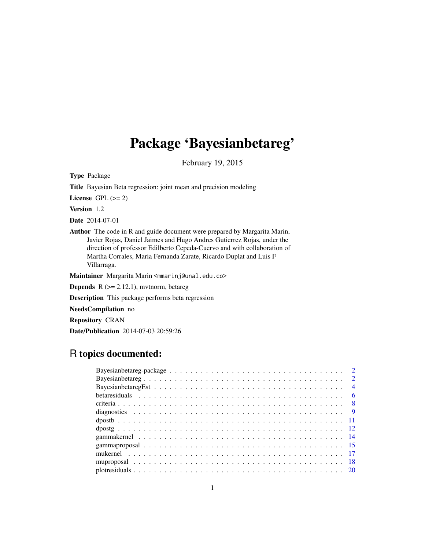# Package 'Bayesianbetareg'

February 19, 2015

Type Package

Title Bayesian Beta regression: joint mean and precision modeling

License GPL  $(>= 2)$ 

Version 1.2

Date 2014-07-01

Author The code in R and guide document were prepared by Margarita Marin, Javier Rojas, Daniel Jaimes and Hugo Andres Gutierrez Rojas, under the direction of professor Edilberto Cepeda-Cuervo and with collaboration of Martha Corrales, Maria Fernanda Zarate, Ricardo Duplat and Luis F Villarraga.

Maintainer Margarita Marin <mmarinj@unal.edu.co>

**Depends**  $R$  ( $>= 2.12.1$ ), mvtnorm, betareg

Description This package performs beta regression

NeedsCompilation no

Repository CRAN

Date/Publication 2014-07-03 20:59:26

# R topics documented: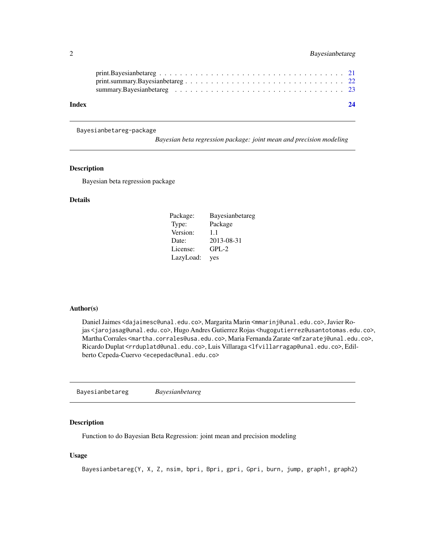<span id="page-1-0"></span>

| Index | 24 |
|-------|----|

Bayesianbetareg-package

*Bayesian beta regression package: joint mean and precision modeling*

# Description

Bayesian beta regression package

# Details

| Package:  | Bayesianbetareg |
|-----------|-----------------|
| Type:     | Package         |
| Version:  | 1.1             |
| Date:     | 2013-08-31      |
| License:  | $GPL-2$         |
| LazyLoad: | yes             |

# Author(s)

Daniel Jaimes <dajaimesc@unal.edu.co>, Margarita Marin <mmarinj@unal.edu.co>, Javier Rojas <jarojasag@unal.edu.co>, Hugo Andres Gutierrez Rojas <hugogutierrez@usantotomas.edu.co>, Martha Corrales <martha.corrales@usa.edu.co>, Maria Fernanda Zarate <mfzaratej@unal.edu.co>, Ricardo Duplat <rrduplatd@unal.edu.co>, Luis Villaraga <lfvillarragap@unal.edu.co>, Edilberto Cepeda-Cuervo <ecepedac@unal.edu.co>

Bayesianbetareg *Bayesianbetareg*

# Description

Function to do Bayesian Beta Regression: joint mean and precision modeling

# Usage

Bayesianbetareg(Y, X, Z, nsim, bpri, Bpri, gpri, Gpri, burn, jump, graph1, graph2)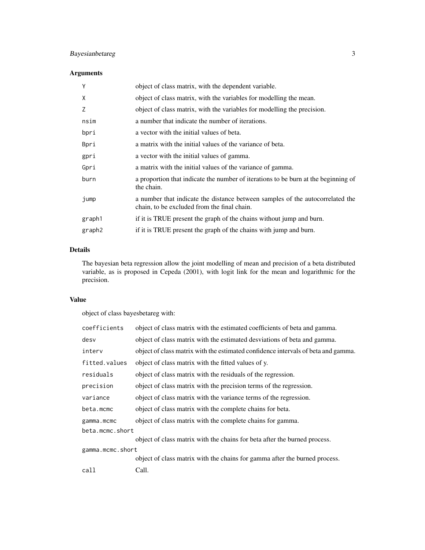# Bayesianbetareg 3

# Arguments

| Y                  | object of class matrix, with the dependent variable.                                                                         |
|--------------------|------------------------------------------------------------------------------------------------------------------------------|
| X                  | object of class matrix, with the variables for modelling the mean.                                                           |
| Z                  | object of class matrix, with the variables for modelling the precision.                                                      |
| nsim               | a number that indicate the number of iterations.                                                                             |
| bpri               | a vector with the initial values of beta.                                                                                    |
| Bpri               | a matrix with the initial values of the variance of beta.                                                                    |
| gpri               | a vector with the initial values of gamma.                                                                                   |
| Gpri               | a matrix with the initial values of the variance of gamma.                                                                   |
| burn               | a proportion that indicate the number of iterations to be burn at the beginning of<br>the chain.                             |
| jump               | a number that indicate the distance between samples of the autocorrelated the<br>chain, to be excluded from the final chain. |
| graph1             | if it is TRUE present the graph of the chains without jump and burn.                                                         |
| graph <sub>2</sub> | if it is TRUE present the graph of the chains with jump and burn.                                                            |
|                    |                                                                                                                              |

# Details

The bayesian beta regression allow the joint modelling of mean and precision of a beta distributed variable, as is proposed in Cepeda (2001), with logit link for the mean and logarithmic for the precision.

# Value

object of class bayesbetareg with:

| coefficients     | object of class matrix with the estimated coefficients of beta and gamma.         |
|------------------|-----------------------------------------------------------------------------------|
| desv             | object of class matrix with the estimated desviations of beta and gamma.          |
| interv           | object of class matrix with the estimated confidence intervals of beta and gamma. |
| fitted.values    | object of class matrix with the fitted values of y.                               |
| residuals        | object of class matrix with the residuals of the regression.                      |
| precision        | object of class matrix with the precision terms of the regression.                |
| variance         | object of class matrix with the variance terms of the regression.                 |
| beta.mcmc        | object of class matrix with the complete chains for beta.                         |
| gamma.mcmc       | object of class matrix with the complete chains for gamma.                        |
| beta.mcmc.short  |                                                                                   |
|                  | object of class matrix with the chains for beta after the burned process.         |
| gamma.mcmc.short |                                                                                   |
|                  | object of class matrix with the chains for gamma after the burned process.        |
| call             | Call.                                                                             |
|                  |                                                                                   |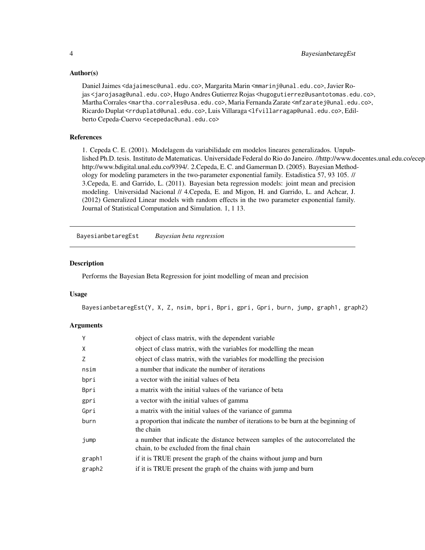# Author(s)

Daniel Jaimes <dajaimesc@unal.edu.co>, Margarita Marin <mmarinj@unal.edu.co>, Javier Rojas <jarojasag@unal.edu.co>, Hugo Andres Gutierrez Rojas <hugogutierrez@usantotomas.edu.co>, Martha Corrales <martha.corrales@usa.edu.co>, Maria Fernanda Zarate <mfzaratej@unal.edu.co>, Ricardo Duplat <rrduplatd@unal.edu.co>, Luis Villaraga <lfvillarragap@unal.edu.co>, Edilberto Cepeda-Cuervo <ecepedac@unal.edu.co>

# References

1. Cepeda C. E. (2001). Modelagem da variabilidade em modelos lineares generalizados. Unpublished Ph.D. tesis. Instituto de Matematicas. Universidade Federal do Rio do Janeiro. //http://www.docentes.unal.edu.co/ecep http://www.bdigital.unal.edu.co/9394/. 2.Cepeda, E. C. and Gamerman D. (2005). Bayesian Methodology for modeling parameters in the two-parameter exponential family. Estadistica 57, 93 105. // 3.Cepeda, E. and Garrido, L. (2011). Bayesian beta regression models: joint mean and precision modeling. Universidad Nacional // 4.Cepeda, E. and Migon, H. and Garrido, L. and Achcar, J. (2012) Generalized Linear models with random effects in the two parameter exponential family. Journal of Statistical Computation and Simulation. 1, 1 13.

BayesianbetaregEst *Bayesian beta regression*

# Description

Performs the Bayesian Beta Regression for joint modelling of mean and precision

# Usage

```
BayesianbetaregEst(Y, X, Z, nsim, bpri, Bpri, gpri, Gpri, burn, jump, graph1, graph2)
```
# Arguments

| Y                  | object of class matrix, with the dependent variable                                                                         |
|--------------------|-----------------------------------------------------------------------------------------------------------------------------|
| X                  | object of class matrix, with the variables for modelling the mean                                                           |
| Z                  | object of class matrix, with the variables for modelling the precision                                                      |
| nsim               | a number that indicate the number of iterations                                                                             |
| bpri               | a vector with the initial values of beta                                                                                    |
| Bpri               | a matrix with the initial values of the variance of beta                                                                    |
| gpri               | a vector with the initial values of gamma                                                                                   |
| Gpri               | a matrix with the initial values of the variance of gamma                                                                   |
| burn               | a proportion that indicate the number of iterations to be burn at the beginning of<br>the chain                             |
| jump               | a number that indicate the distance between samples of the autocorrelated the<br>chain, to be excluded from the final chain |
| graph1             | if it is TRUE present the graph of the chains without jump and burn                                                         |
| graph <sub>2</sub> | if it is TRUE present the graph of the chains with jump and burn                                                            |

<span id="page-3-0"></span>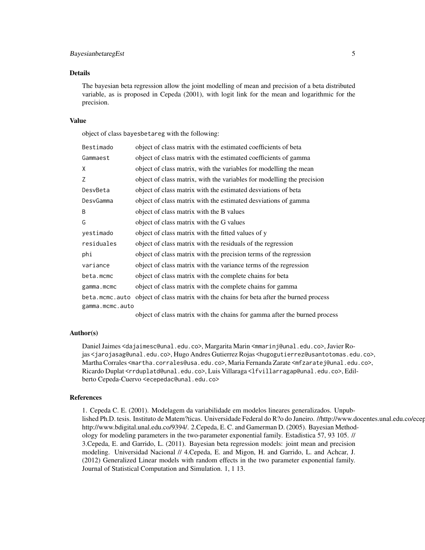# BayesianbetaregEst 5

#### Details

The bayesian beta regression allow the joint modelling of mean and precision of a beta distributed variable, as is proposed in Cepeda (2001), with logit link for the mean and logarithmic for the precision.

#### Value

object of class bayesbetareg with the following:

| Bestimado       | object of class matrix with the estimated coefficients of beta                                                               |
|-----------------|------------------------------------------------------------------------------------------------------------------------------|
| Gammaest        | object of class matrix with the estimated coefficients of gamma                                                              |
| X               | object of class matrix, with the variables for modelling the mean                                                            |
| Ζ               | object of class matrix, with the variables for modelling the precision                                                       |
| DesvBeta        | object of class matrix with the estimated desviations of beta                                                                |
| DesvGamma       | object of class matrix with the estimated desviations of gamma                                                               |
| B               | object of class matrix with the B values                                                                                     |
| G               | object of class matrix with the G values                                                                                     |
| yestimado       | object of class matrix with the fitted values of y                                                                           |
| residuales      | object of class matrix with the residuals of the regression                                                                  |
| phi             | object of class matrix with the precision terms of the regression                                                            |
| variance        | object of class matrix with the variance terms of the regression                                                             |
| beta.mcmc       | object of class matrix with the complete chains for beta                                                                     |
| gamma.mcmc      | object of class matrix with the complete chains for gamma                                                                    |
| beta.mcmc.auto  | object of class matrix with the chains for beta after the burned process                                                     |
| gamma.mcmc.auto |                                                                                                                              |
|                 | . In the second contract with the second of the second contract $\alpha$ and $\alpha$ and $\alpha$ and $\alpha$ and $\alpha$ |

object of class matrix with the chains for gamma after the burned process

#### Author(s)

Daniel Jaimes <dajaimesc@unal.edu.co>, Margarita Marin <mmarinj@unal.edu.co>, Javier Rojas <jarojasag@unal.edu.co>, Hugo Andres Gutierrez Rojas <hugogutierrez@usantotomas.edu.co>, Martha Corrales <martha.corrales@usa.edu.co>, Maria Fernanda Zarate <mfzaratej@unal.edu.co>, Ricardo Duplat <rrduplatd@unal.edu.co>, Luis Villaraga <lfvillarragap@unal.edu.co>, Edilberto Cepeda-Cuervo <ecepedac@unal.edu.co>

#### References

1. Cepeda C. E. (2001). Modelagem da variabilidade em modelos lineares generalizados. Unpublished Ph.D. tesis. Instituto de Matem?ticas. Universidade Federal do R?o do Janeiro. //http://www.docentes.unal.edu.co/ecep http://www.bdigital.unal.edu.co/9394/. 2.Cepeda, E. C. and Gamerman D. (2005). Bayesian Methodology for modeling parameters in the two-parameter exponential family. Estadistica 57, 93 105. // 3.Cepeda, E. and Garrido, L. (2011). Bayesian beta regression models: joint mean and precision modeling. Universidad Nacional // 4.Cepeda, E. and Migon, H. and Garrido, L. and Achcar, J. (2012) Generalized Linear models with random effects in the two parameter exponential family. Journal of Statistical Computation and Simulation. 1, 1 13.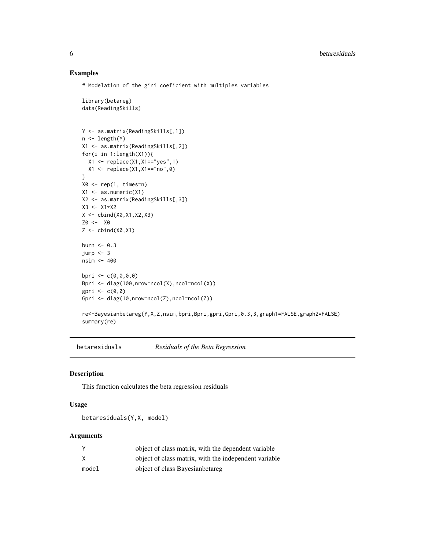# Examples

# Modelation of the gini coeficient with multiples variables

```
library(betareg)
data(ReadingSkills)
Y <- as.matrix(ReadingSkills[,1])
n <- length(Y)
X1 <- as.matrix(ReadingSkills[,2])
for(i in 1:length(X1)){
  X1 <- replace(X1,X1=="yes",1)
 X1 <- replace(X1,X1=="no",0)
}
X0 \leq -\text{rep}(1, \text{times=n})X1 \leftarrow as.numeric(X1)X2 <- as.matrix(ReadingSkills[,3])
X3 < - X1*X2X \leftarrow \text{cbind}(X\emptyset, X1, X2, X3)Z0 <- X0
Z \leftarrow \text{cbind}(X\emptyset, X1)burn <- 0.3
jump < -3nsim <- 400
bpri <- c(0,0,0,0)Bpri <- diag(100,nrow=ncol(X),ncol=ncol(X))
gpri \leq c(0,0)Gpri <- diag(10,nrow=ncol(Z),ncol=ncol(Z))
re<-Bayesianbetareg(Y,X,Z,nsim,bpri,Bpri,gpri,Gpri,0.3,3,graph1=FALSE,graph2=FALSE)
summary(re)
```
betaresiduals *Residuals of the Beta Regression*

# Description

This function calculates the beta regression residuals

# Usage

betaresiduals(Y,X, model)

#### Arguments

|       | object of class matrix, with the dependent variable   |
|-------|-------------------------------------------------------|
| X     | object of class matrix, with the independent variable |
| model | object of class Bayesian betareg                      |

<span id="page-5-0"></span>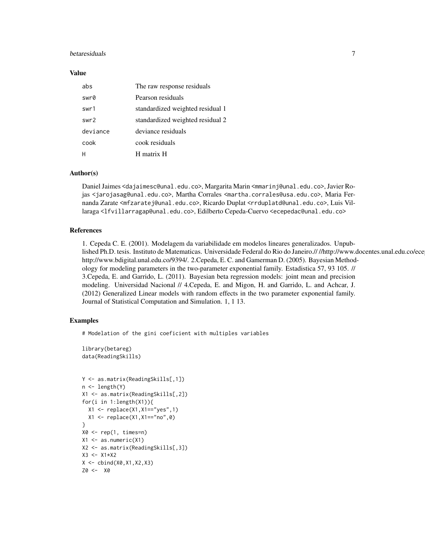# betaresiduals **7** and 2008 **7** and 2008 **7** and 2008 **7** and 2008 **7** and 2008 **7** and 2008 **7** and 2008 **7** and 2008 **7** and 2008 **7** and 2008 **7** and 2008 **7** and 2008 **7** and 2008 **7** and 2008 **7** and 2008 **7** and 2008

#### Value

| abs      | The raw response residuals       |
|----------|----------------------------------|
| swr0     | Pearson residuals                |
| swr1     | standardized weighted residual 1 |
| swr2     | standardized weighted residual 2 |
| deviance | deviance residuals               |
| cook     | cook residuals                   |
|          | H matrix H                       |

# Author(s)

Daniel Jaimes <dajaimesc@unal.edu.co>, Margarita Marin <mmarinj@unal.edu.co>, Javier Rojas <jarojasag@unal.edu.co>, Martha Corrales <martha.corrales@usa.edu.co>, Maria Fernanda Zarate <mfzaratej@unal.edu.co>, Ricardo Duplat <rrduplatd@unal.edu.co>, Luis Villaraga <lfvillarragap@unal.edu.co>, Edilberto Cepeda-Cuervo <ecepedac@unal.edu.co>

#### References

1. Cepeda C. E. (2001). Modelagem da variabilidade em modelos lineares generalizados. Unpublished Ph.D. tesis. Instituto de Matematicas. Universidade Federal do Rio do Janeiro.////http://www.docentes.unal.edu.co/ece http://www.bdigital.unal.edu.co/9394/. 2.Cepeda, E. C. and Gamerman D. (2005). Bayesian Methodology for modeling parameters in the two-parameter exponential family. Estadistica 57, 93 105. // 3.Cepeda, E. and Garrido, L. (2011). Bayesian beta regression models: joint mean and precision modeling. Universidad Nacional // 4.Cepeda, E. and Migon, H. and Garrido, L. and Achcar, J. (2012) Generalized Linear models with random effects in the two parameter exponential family. Journal of Statistical Computation and Simulation. 1, 1 13.

# Examples

# Modelation of the gini coeficient with multiples variables

```
library(betareg)
data(ReadingSkills)
```

```
Y <- as.matrix(ReadingSkills[,1])
n <- length(Y)
X1 <- as.matrix(ReadingSkills[,2])
for(i in 1:length(X1)){
  X1 <- replace(X1,X1=="yes",1)
  X1 \leftarrow \text{replace}(X1, X1 == "no", 0)}
X0 \leq -\text{rep}(1, \text{times=n})X1 \leftarrow as.numeric(X1)X2 <- as.matrix(ReadingSkills[,3])
X3 < - X1*X2X \leftarrow \text{cbind}(X\emptyset, X1, X2, X3)Z0 <- X0
```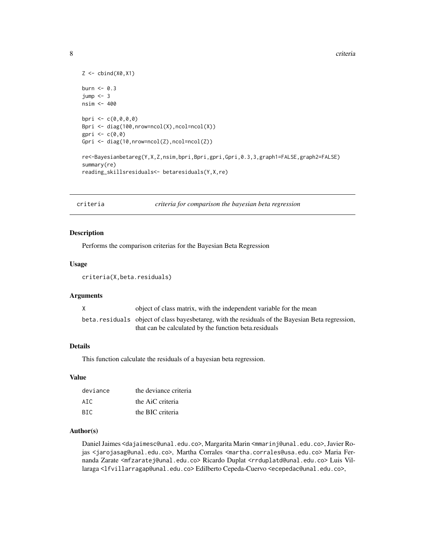```
Z \leftarrow \text{cbind}(X\emptyset, X1)burn <-0.3jump < -3nsim <- 400
bpri <- c(0,0,0,0)Bpri <- diag(100,nrow=ncol(X),ncol=ncol(X))
gpri \leq c(\emptyset, \emptyset)Gpri <- diag(10,nrow=ncol(Z),ncol=ncol(Z))
re<-Bayesianbetareg(Y,X,Z,nsim,bpri,Bpri,gpri,Gpri,0.3,3,graph1=FALSE,graph2=FALSE)
summary(re)
reading_skillsresiduals<- betaresiduals(Y,X,re)
```
criteria *criteria for comparison the bayesian beta regression*

#### Description

Performs the comparison criterias for the Bayesian Beta Regression

# Usage

criteria(X,beta.residuals)

#### Arguments

| X | object of class matrix, with the independent variable for the mean                                 |
|---|----------------------------------------------------------------------------------------------------|
|   | beta. residuals object of class bayes betareg, with the residuals of the Bayesian Beta regression, |
|   | that can be calculated by the function beta. residuals                                             |

# Details

This function calculate the residuals of a bayesian beta regression.

#### Value

| deviance | the deviance criteria |
|----------|-----------------------|
| ATC.     | the AiC criteria      |
| BTC.     | the BIC criteria      |

# Author(s)

Daniel Jaimes <dajaimesc@unal.edu.co>, Margarita Marin <mmarinj@unal.edu.co>, Javier Rojas <jarojasag@unal.edu.co>, Martha Corrales <martha.corrales@usa.edu.co> Maria Fernanda Zarate <mfzaratej@unal.edu.co> Ricardo Duplat <rrduplatd@unal.edu.co> Luis Villaraga <lfvillarragap@unal.edu.co> Edilberto Cepeda-Cuervo <ecepedac@unal.edu.co>,

<span id="page-7-0"></span>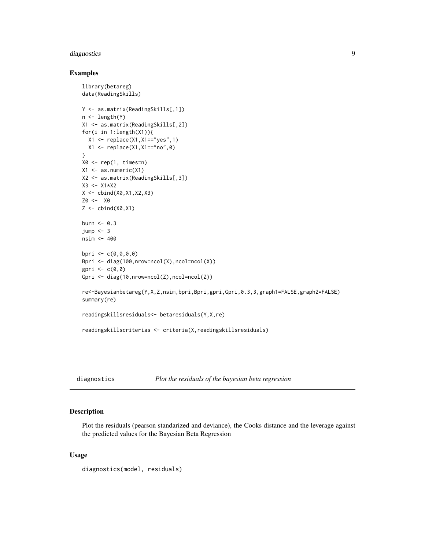# <span id="page-8-0"></span>diagnostics 9

#### Examples

```
library(betareg)
data(ReadingSkills)
Y <- as.matrix(ReadingSkills[,1])
n <- length(Y)
X1 <- as.matrix(ReadingSkills[,2])
for(i in 1:length(X1)){
  X1 <- replace(X1,X1=="yes",1)
  X1 <- replace(X1,X1=="no",0)
}
X0 \leq -\text{rep}(1, \text{times=n})X1 \leftarrow as.numeric(X1)X2 <- as.matrix(ReadingSkills[,3])
X3 < - X1*X2X <- cbind(X0,X1,X2,X3)
Z0 <- X0
Z \leftarrow \text{cbind}(X\emptyset, X1)burn <- 0.3
jump < -3nsim <- 400
bpri \leq c(0, 0, 0, 0)Bpri <- diag(100,nrow=ncol(X),ncol=ncol(X))
gpri \leq c(0,0)Gpri <- diag(10,nrow=ncol(Z),ncol=ncol(Z))
re<-Bayesianbetareg(Y,X,Z,nsim,bpri,Bpri,gpri,Gpri,0.3,3,graph1=FALSE,graph2=FALSE)
summary(re)
readingskillsresiduals<- betaresiduals(Y,X,re)
readingskillscriterias <- criteria(X,readingskillsresiduals)
```
diagnostics *Plot the residuals of the bayesian beta regression*

# Description

Plot the residuals (pearson standarized and deviance), the Cooks distance and the leverage against the predicted values for the Bayesian Beta Regression

# Usage

```
diagnostics(model, residuals)
```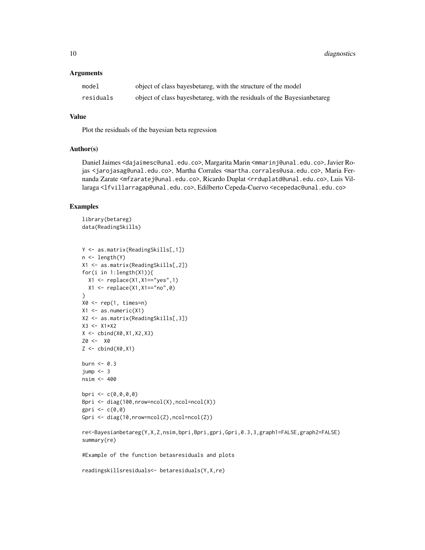10 diagnostics and the contract of the contract of the contract of the contract of the contract of the contract of the contract of the contract of the contract of the contract of the contract of the contract of the contrac

# Arguments

| model     | object of class bayes betareg, with the structure of the model            |
|-----------|---------------------------------------------------------------------------|
| residuals | object of class bayes betareg, with the residuals of the Bayesian betareg |

# Value

Plot the residuals of the bayesian beta regression

# Author(s)

Daniel Jaimes <dajaimesc@unal.edu.co>, Margarita Marin <mmarinj@unal.edu.co>, Javier Rojas <jarojasag@unal.edu.co>, Martha Corrales <martha.corrales@usa.edu.co>, Maria Fernanda Zarate <mfzaratej@unal.edu.co>, Ricardo Duplat <rrduplatd@unal.edu.co>, Luis Villaraga <lfvillarragap@unal.edu.co>, Edilberto Cepeda-Cuervo <ecepedac@unal.edu.co>

#### Examples

```
library(betareg)
data(ReadingSkills)
```

```
Y <- as.matrix(ReadingSkills[,1])
n <- length(Y)
X1 <- as.matrix(ReadingSkills[,2])
for(i in 1:length(X1)){
  X1 \leftarrow \text{replace}(X1, X1 == "yes", 1)X1 \leftarrow \text{replace}(X1, X1 == \text{"no", 0})}
X0 \leq -rep(1, times=n)X1 \leftarrow as.numeric(X1)X2 <- as.matrix(ReadingSkills[,3])
X3 < - X1*X2X \le - \text{cbind}(X0, X1, X2, X3)Z0 <- X0
Z \leftarrow \text{cbind}(X\emptyset, X1)burn \leq -0.3jump < -3nsim <- 400
bpri \leq c(0, 0, 0, 0)Bpri <- diag(100,nrow=ncol(X),ncol=ncol(X))
gpri \leq c(0,0)Gpri <- diag(10,nrow=ncol(Z),ncol=ncol(Z))
re<-Bayesianbetareg(Y,X,Z,nsim,bpri,Bpri,gpri,Gpri,0.3,3,graph1=FALSE,graph2=FALSE)
summary(re)
#Example of the function betasresiduals and plots
readingskillsresiduals<- betaresiduals(Y,X,re)
```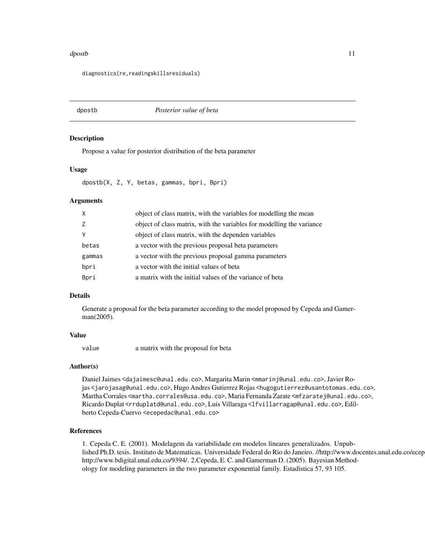#### <span id="page-10-0"></span>dpostb the contract of the contract of the contract of the contract of the contract of the contract of the contract of the contract of the contract of the contract of the contract of the contract of the contract of the con

diagnostics(re,readingskillsresiduals)

dpostb *Posterior value of beta*

#### **Description**

Propose a value for posterior distribution of the beta parameter

# Usage

dpostb(X, Z, Y, betas, gammas, bpri, Bpri)

# Arguments

| $\mathsf{X}$ | object of class matrix, with the variables for modelling the mean     |
|--------------|-----------------------------------------------------------------------|
| Z            | object of class matrix, with the variables for modelling the variance |
| Y            | object of class matrix, with the dependen variables                   |
| betas        | a vector with the previous proposal beta parameters                   |
| gammas       | a vector with the previous proposal gamma parameters                  |
| bpri         | a vector with the initial values of beta                              |
| Bpri         | a matrix with the initial values of the variance of beta              |

# Details

Generate a proposal for the beta parameter according to the model proposed by Cepeda and Gamerman(2005).

#### Value

value a matrix with the proposal for beta

# Author(s)

Daniel Jaimes <dajaimesc@unal.edu.co>, Margarita Marin <mmarinj@unal.edu.co>, Javier Rojas <jarojasag@unal.edu.co>, Hugo Andres Gutierrez Rojas <hugogutierrez@usantotomas.edu.co>, Martha Corrales <martha.corrales@usa.edu.co>, Maria Fernanda Zarate <mfzaratej@unal.edu.co>, Ricardo Duplat <rrduplatd@unal.edu.co>, Luis Villaraga <lfvillarragap@unal.edu.co>, Edilberto Cepeda-Cuervo <ecepedac@unal.edu.co>

# References

1. Cepeda C. E. (2001). Modelagem da variabilidade em modelos lineares generalizados. Unpublished Ph.D. tesis. Instituto de Matematicas. Universidade Federal do Rio do Janeiro. //http://www.docentes.unal.edu.co/ecep http://www.bdigital.unal.edu.co/9394/. 2.Cepeda, E. C. and Gamerman D. (2005). Bayesian Methodology for modeling parameters in the two parameter exponential family. Estadistica 57, 93 105.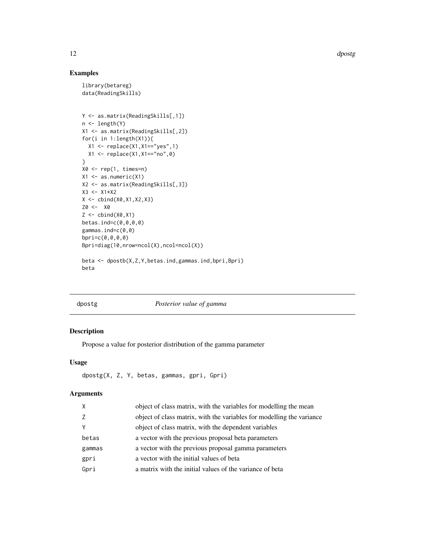12 dpostg

# Examples

```
library(betareg)
data(ReadingSkills)
Y <- as.matrix(ReadingSkills[,1])
n <- length(Y)
X1 <- as.matrix(ReadingSkills[,2])
for(i in 1:length(X1)){
  X1 <- replace(X1,X1=="yes",1)
  X1 <- replace(X1,X1=="no",0)
}
X0 \leftarrow \text{rep}(1, \text{ times=n})X1 \leftarrow as.numeric(X1)X2 <- as.matrix(ReadingSkills[,3])
X3 < - X1*X2X \leftarrow \text{cbind}(X\emptyset, X1, X2, X3)Z0 <- X0
Z \leftarrow \text{cbind}(X\emptyset, X1)betas.ind=c(0,0,0,0)
gammas.ind=c(0,0)
bpri=c(0,0,0,0)
Bpri=diag(10,nrow=ncol(X),ncol=ncol(X))
beta <- dpostb(X,Z,Y,betas.ind,gammas.ind,bpri,Bpri)
```

```
beta
```
#### dpostg *Posterior value of gamma*

# Description

Propose a value for posterior distribution of the gamma parameter

# Usage

```
dpostg(X, Z, Y, betas, gammas, gpri, Gpri)
```
# Arguments

| X      | object of class matrix, with the variables for modelling the mean     |
|--------|-----------------------------------------------------------------------|
| Z      | object of class matrix, with the variables for modelling the variance |
| Y      | object of class matrix, with the dependent variables                  |
| betas  | a vector with the previous proposal beta parameters                   |
| gammas | a vector with the previous proposal gamma parameters                  |
| gpri   | a vector with the initial values of beta                              |
| Gpri   | a matrix with the initial values of the variance of beta              |
|        |                                                                       |

<span id="page-11-0"></span>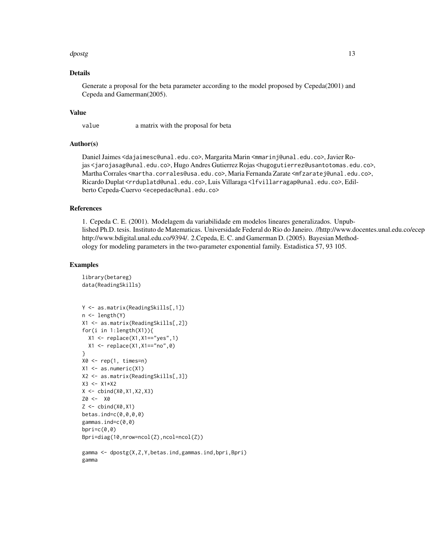#### dpostg the contract of the contract of the contract of the contract of the contract of the contract of the contract of the contract of the contract of the contract of the contract of the contract of the contract of the con

# Details

Generate a proposal for the beta parameter according to the model proposed by Cepeda(2001) and Cepeda and Gamerman(2005).

#### Value

value a matrix with the proposal for beta

Author(s)

Daniel Jaimes <dajaimesc@unal.edu.co>, Margarita Marin <mmarinj@unal.edu.co>, Javier Rojas <jarojasag@unal.edu.co>, Hugo Andres Gutierrez Rojas <hugogutierrez@usantotomas.edu.co>, Martha Corrales <martha.corrales@usa.edu.co>, Maria Fernanda Zarate <mfzaratej@unal.edu.co>, Ricardo Duplat <rrduplatd@unal.edu.co>, Luis Villaraga <lfvillarragap@unal.edu.co>, Edilberto Cepeda-Cuervo <ecepedac@unal.edu.co>

#### References

1. Cepeda C. E. (2001). Modelagem da variabilidade em modelos lineares generalizados. Unpublished Ph.D. tesis. Instituto de Matematicas. Universidade Federal do Rio do Janeiro. //http://www.docentes.unal.edu.co/ecep http://www.bdigital.unal.edu.co/9394/. 2.Cepeda, E. C. and Gamerman D. (2005). Bayesian Methodology for modeling parameters in the two-parameter exponential family. Estadistica 57, 93 105.

#### Examples

```
library(betareg)
data(ReadingSkills)
```

```
Y <- as.matrix(ReadingSkills[,1])
n <- length(Y)
X1 <- as.matrix(ReadingSkills[,2])
for(i in 1:length(X1)){
  X1 <- replace(X1,X1=="yes",1)
  X1 \leftarrow \text{replace}(X1, X1 == \text{"no", 0})}
X0 \leq -\text{rep}(1, \text{times=n})X1 \leftarrow as.numeric(X1)X2 <- as.matrix(ReadingSkills[,3])
X3 < - X1*X2X \leftarrow \text{cbind}(X0, X1, X2, X3)Z0 <- X0
Z \leftarrow \text{cbind}(X\emptyset, X1)betas.ind=c(0,0,0,0)
gammas.ind=c(0,0)
bpri=c(0,0)Bpri=diag(10,nrow=ncol(Z),ncol=ncol(Z))
```

```
gamma <- dpostg(X,Z,Y,betas.ind,gammas.ind,bpri,Bpri)
gamma
```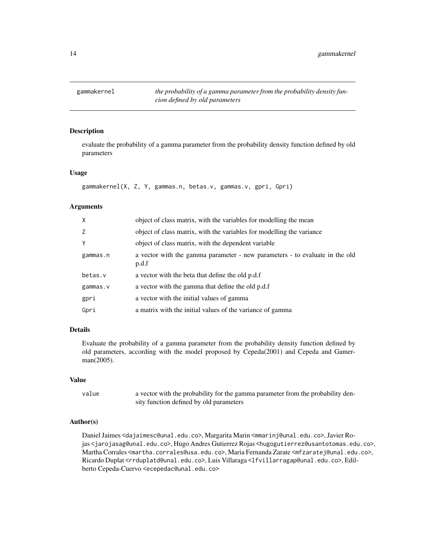<span id="page-13-0"></span>gammakernel *the probability of a gamma parameter from the probability density funcion defined by old parameters*

# Description

evaluate the probability of a gamma parameter from the probability density function defined by old parameters

# Usage

```
gammakernel(X, Z, Y, gammas.n, betas.v, gammas.v, gpri, Gpri)
```
#### Arguments

| X        | object of class matrix, with the variables for modelling the mean                    |
|----------|--------------------------------------------------------------------------------------|
| Z        | object of class matrix, with the variables for modelling the variance                |
| Y        | object of class matrix, with the dependent variable                                  |
| gammas.n | a vector with the gamma parameter - new parameters - to evaluate in the old<br>p.d.f |
| betas.v  | a vector with the beta that define the old p.d.f                                     |
| gammas.v | a vector with the gamma that define the old p.d.f                                    |
| gpri     | a vector with the initial values of gamma                                            |
| Gpri     | a matrix with the initial values of the variance of gamma                            |

# Details

Evaluate the probability of a gamma parameter from the probability density function defined by old parameters, according with the model proposed by Cepeda(2001) and Cepeda and Gamerman(2005).

# Value

value a vector with the probability for the gamma parameter from the probability density function defined by old parameters

# Author(s)

Daniel Jaimes <dajaimesc@unal.edu.co>, Margarita Marin <mmarinj@unal.edu.co>, Javier Rojas <jarojasag@unal.edu.co>, Hugo Andres Gutierrez Rojas <hugogutierrez@usantotomas.edu.co>, Martha Corrales <martha.corrales@usa.edu.co>, Maria Fernanda Zarate <mfzaratej@unal.edu.co>, Ricardo Duplat <rrduplatd@unal.edu.co>, Luis Villaraga <lfvillarragap@unal.edu.co>, Edilberto Cepeda-Cuervo <ecepedac@unal.edu.co>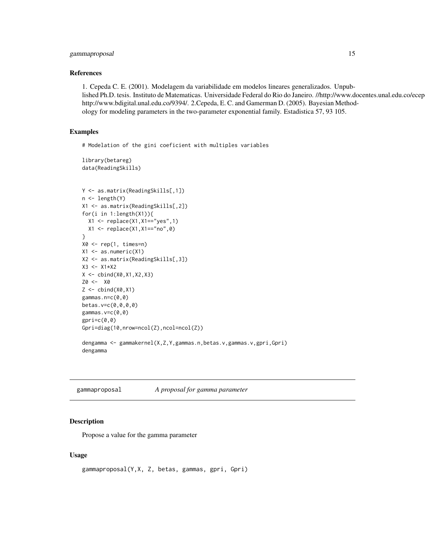# <span id="page-14-0"></span>gammaproposal and the set of the set of the set of the set of the set of the set of the set of the set of the set of the set of the set of the set of the set of the set of the set of the set of the set of the set of the se

# References

1. Cepeda C. E. (2001). Modelagem da variabilidade em modelos lineares generalizados. Unpublished Ph.D. tesis. Instituto de Matematicas. Universidade Federal do Rio do Janeiro. //http://www.docentes.unal.edu.co/ecep http://www.bdigital.unal.edu.co/9394/. 2.Cepeda, E. C. and Gamerman D. (2005). Bayesian Methodology for modeling parameters in the two-parameter exponential family. Estadistica 57, 93 105.

# Examples

# Modelation of the gini coeficient with multiples variables

```
library(betareg)
data(ReadingSkills)
```

```
Y <- as.matrix(ReadingSkills[,1])
n <- length(Y)
X1 <- as.matrix(ReadingSkills[,2])
for(i in 1:length(X1)){
  X1 <- replace(X1,X1=="yes",1)
  X1 \leftarrow \text{replace}(X1, X1 == \text{"no", 0})}
X0 <- rep(1, times=n)
X1 <- as.numeric(X1)
X2 <- as.matrix(ReadingSkills[,3])
X3 <- X1*X2
X \leftarrow \text{cbind}(X0, X1, X2, X3)Z0 <- X0
Z \leftarrow \text{cbind}(X\emptyset, X1)gammas.n=c(0,0)
betas.v=c(0,0,0,0)
gammas.v=c(0,0)
gpri=c(0,0)
Gpri=diag(10,nrow=ncol(Z),ncol=ncol(Z))
dengamma <- gammakernel(X,Z,Y,gammas.n,betas.v,gammas.v,gpri,Gpri)
dengamma
```
gammaproposal *A proposal for gamma parameter*

# **Description**

Propose a value for the gamma parameter

# Usage

```
gammaproposal(Y,X, Z, betas, gammas, gpri, Gpri)
```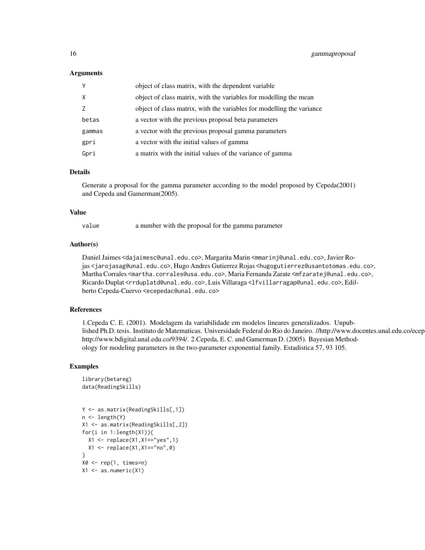# Arguments

| Y      | object of class matrix, with the dependent variable                   |
|--------|-----------------------------------------------------------------------|
| X      | object of class matrix, with the variables for modelling the mean     |
| Z      | object of class matrix, with the variables for modelling the variance |
| betas  | a vector with the previous proposal beta parameters                   |
| gammas | a vector with the previous proposal gamma parameters                  |
| gpri   | a vector with the initial values of gamma                             |
| Gpri   | a matrix with the initial values of the variance of gamma             |

#### Details

Generate a proposal for the gamma parameter according to the model proposed by Cepeda(2001) and Cepeda and Gamerman(2005).

#### Value

value a number with the proposal for the gamma parameter

# Author(s)

Daniel Jaimes <dajaimesc@unal.edu.co>, Margarita Marin <mmarinj@unal.edu.co>, Javier Rojas <jarojasag@unal.edu.co>, Hugo Andres Gutierrez Rojas <hugogutierrez@usantotomas.edu.co>, Martha Corrales <martha.corrales@usa.edu.co>, Maria Fernanda Zarate <mfzaratej@unal.edu.co>, Ricardo Duplat <rrduplatd@unal.edu.co>, Luis Villaraga <lfvillarragap@unal.edu.co>, Edilberto Cepeda-Cuervo <ecepedac@unal.edu.co>

# References

1.Cepeda C. E. (2001). Modelagem da variabilidade em modelos lineares generalizados. Unpublished Ph.D. tesis. Instituto de Matematicas. Universidade Federal do Rio do Janeiro. //http://www.docentes.unal.edu.co/ecep http://www.bdigital.unal.edu.co/9394/. 2.Cepeda, E. C. and Gamerman D. (2005). Bayesian Methodology for modeling parameters in the two-parameter exponential family. Estadistica 57, 93 105.

#### Examples

```
library(betareg)
data(ReadingSkills)
```

```
Y <- as.matrix(ReadingSkills[,1])
n <- length(Y)
X1 <- as.matrix(ReadingSkills[,2])
for(i in 1:length(X1)){
  X1 \leftarrow \text{replace}(X1, X1 == "yes", 1)X1 \leftarrow \text{replace}(X1, X1 == \text{"no", 0})}
X0 \leq -\text{rep}(1, \text{times=n})X1 \leftarrow as.numeric(X1)
```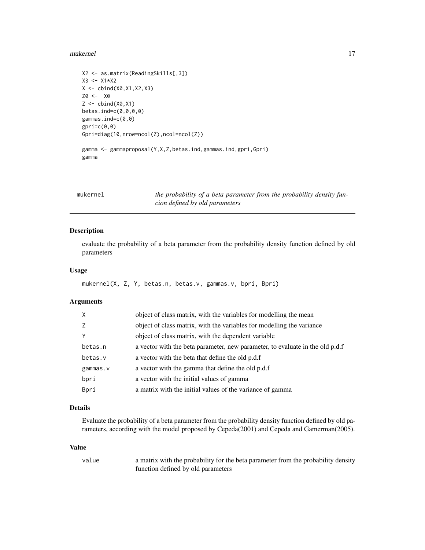#### <span id="page-16-0"></span>mukernel and the state of the state of the state of the state of the state of the state of the state of the state of the state of the state of the state of the state of the state of the state of the state of the state of t

```
X2 <- as.matrix(ReadingSkills[,3])
X3 <- X1*X2
X <- cbind(X0,X1,X2,X3)
Z0 <- X0
Z \leftarrow \text{cbind}(X\emptyset, X1)betas.ind=c(0,0,0,0)
gammas.ind=c(0,0)
gpri=c(0,0)
Gpri=diag(10,nrow=ncol(Z),ncol=ncol(Z))
gamma <- gammaproposal(Y,X,Z,betas.ind,gammas.ind,gpri,Gpri)
gamma
```
mukernel *the probability of a beta parameter from the probability density funcion defined by old parameters*

# Description

evaluate the probability of a beta parameter from the probability density function defined by old parameters

# Usage

```
mukernel(X, Z, Y, betas.n, betas.v, gammas.v, bpri, Bpri)
```
# Arguments

| X        | object of class matrix, with the variables for modelling the mean              |
|----------|--------------------------------------------------------------------------------|
| Z.       | object of class matrix, with the variables for modelling the variance          |
| Υ        | object of class matrix, with the dependent variable                            |
| betas.n  | a vector with the beta parameter, new parameter, to evaluate in the old p.d.f. |
| betas.v  | a vector with the beta that define the old p.d.f                               |
| gammas.v | a vector with the gamma that define the old p.d.f                              |
| bpri     | a vector with the initial values of gamma                                      |
| Bpri     | a matrix with the initial values of the variance of gamma                      |

# Details

Evaluate the probability of a beta parameter from the probability density function defined by old parameters, according with the model proposed by Cepeda(2001) and Cepeda and Gamerman(2005).

# Value

| value | a matrix with the probability for the beta parameter from the probability density |
|-------|-----------------------------------------------------------------------------------|
|       | function defined by old parameters                                                |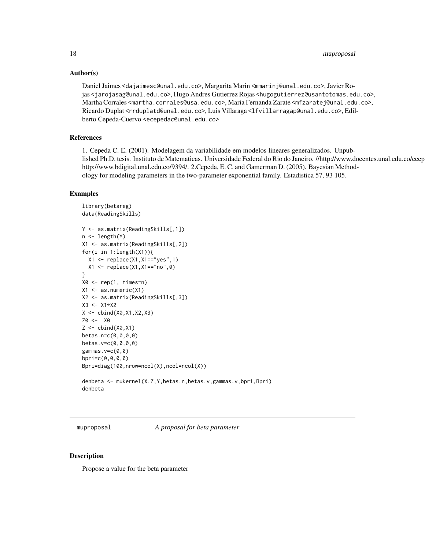# Author(s)

Daniel Jaimes <dajaimesc@unal.edu.co>, Margarita Marin <mmarinj@unal.edu.co>, Javier Rojas <jarojasag@unal.edu.co>, Hugo Andres Gutierrez Rojas <hugogutierrez@usantotomas.edu.co>, Martha Corrales <martha.corrales@usa.edu.co>, Maria Fernanda Zarate <mfzaratej@unal.edu.co>, Ricardo Duplat <rrduplatd@unal.edu.co>, Luis Villaraga <lfvillarragap@unal.edu.co>, Edilberto Cepeda-Cuervo <ecepedac@unal.edu.co>

# References

1. Cepeda C. E. (2001). Modelagem da variabilidade em modelos lineares generalizados. Unpublished Ph.D. tesis. Instituto de Matematicas. Universidade Federal do Rio do Janeiro. //http://www.docentes.unal.edu.co/ecep http://www.bdigital.unal.edu.co/9394/. 2.Cepeda, E. C. and Gamerman D. (2005). Bayesian Methodology for modeling parameters in the two-parameter exponential family. Estadistica 57, 93 105.

#### Examples

```
library(betareg)
data(ReadingSkills)
Y <- as.matrix(ReadingSkills[,1])
n <- length(Y)
X1 <- as.matrix(ReadingSkills[,2])
for(i in 1:length(X1)){
  X1 <- replace(X1,X1=="yes",1)
  X1 \leftarrow \text{replace}(X1, X1 == \text{"no", 0})}
X0 \leftarrow \text{rep}(1, \text{times=n})X1 \leftarrow as.numeric(X1)X2 <- as.matrix(ReadingSkills[,3])
X3 <- X1*X2
X \leftarrow \text{cbind}(X0, X1, X2, X3)Z0 <- X0
Z \leftarrow \text{cbind}(X\emptyset, X1)betas.n=c(0,0,0,0)
betas.v=c(0,0,0,0)
gammas.v=c(0,0)
bpri=c(0,0,0,0)
Bpri=diag(100,nrow=ncol(X),ncol=ncol(X))
denbeta <- mukernel(X,Z,Y,betas.n,betas.v,gammas.v,bpri,Bpri)
denbeta
```
muproposal *A proposal for beta parameter*

# Description

Propose a value for the beta parameter

<span id="page-17-0"></span>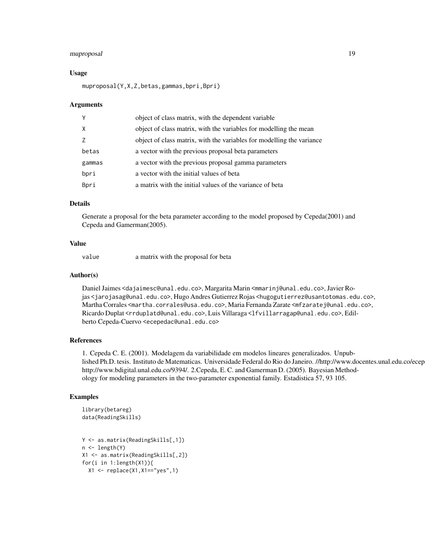# muproposal 19

#### Usage

muproposal(Y,X,Z,betas,gammas,bpri,Bpri)

#### Arguments

| Y      | object of class matrix, with the dependent variable                   |
|--------|-----------------------------------------------------------------------|
| X      | object of class matrix, with the variables for modelling the mean     |
| Z      | object of class matrix, with the variables for modelling the variance |
| betas  | a vector with the previous proposal beta parameters                   |
| gammas | a vector with the previous proposal gamma parameters                  |
| bpri   | a vector with the initial values of beta                              |
| Bpri   | a matrix with the initial values of the variance of beta              |

# Details

Generate a proposal for the beta parameter according to the model proposed by Cepeda(2001) and Cepeda and Gamerman(2005).

# Value

value a matrix with the proposal for beta

#### Author(s)

Daniel Jaimes <dajaimesc@unal.edu.co>, Margarita Marin <mmarinj@unal.edu.co>, Javier Rojas <jarojasag@unal.edu.co>, Hugo Andres Gutierrez Rojas <hugogutierrez@usantotomas.edu.co>, Martha Corrales <martha.corrales@usa.edu.co>, Maria Fernanda Zarate <mfzaratej@unal.edu.co>, Ricardo Duplat <rrduplatd@unal.edu.co>, Luis Villaraga <lfvillarragap@unal.edu.co>, Edilberto Cepeda-Cuervo <ecepedac@unal.edu.co>

# References

1. Cepeda C. E. (2001). Modelagem da variabilidade em modelos lineares generalizados. Unpublished Ph.D. tesis. Instituto de Matematicas. Universidade Federal do Rio do Janeiro. //http://www.docentes.unal.edu.co/ecep http://www.bdigital.unal.edu.co/9394/. 2.Cepeda, E. C. and Gamerman D. (2005). Bayesian Methodology for modeling parameters in the two-parameter exponential family. Estadistica 57, 93 105.

# Examples

```
library(betareg)
data(ReadingSkills)
```

```
Y <- as.matrix(ReadingSkills[,1])
n <- length(Y)
X1 <- as.matrix(ReadingSkills[,2])
for(i in 1:length(X1)){
  X1 <- replace(X1,X1=="yes",1)
```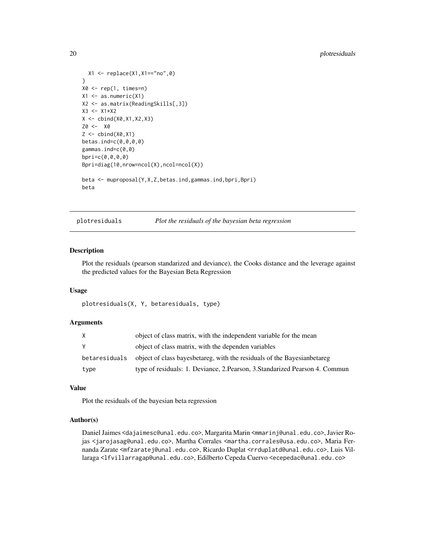```
X1 <- replace(X1,X1=="no",0)
}
X0 \leftarrow \text{rep}(1, \text{ times=n})X1 \leftarrow as.numeric(X1)X2 <- as.matrix(ReadingSkills[,3])
X3 <- X1*X2
X \leftarrow \text{cbind}(X0, X1, X2, X3)Z0 <- X0
Z \leftarrow \text{cbind}(X\emptyset, X1)betas.ind=c(0,0,0,0)
gammas.ind=c(0,0)
bpri=c(0,0,0,0)
Bpri=diag(10,nrow=ncol(X),ncol=ncol(X))
beta <- muproposal(Y,X,Z,betas.ind,gammas.ind,bpri,Bpri)
beta
```
plotresiduals *Plot the residuals of the bayesian beta regression*

#### Description

Plot the residuals (pearson standarized and deviance), the Cooks distance and the leverage against the predicted values for the Bayesian Beta Regression

# Usage

```
plotresiduals(X, Y, betaresiduals, type)
```
# **Arguments**

| X             | object of class matrix, with the independent variable for the mean           |
|---------------|------------------------------------------------------------------------------|
| Y             | object of class matrix, with the dependen variables                          |
| betaresiduals | object of class bayes betareg, with the residuals of the Bayesian betareg    |
| type          | type of residuals: 1. Deviance, 2. Pearson, 3. Standarized Pearson 4. Commun |

# Value

Plot the residuals of the bayesian beta regression

# Author(s)

Daniel Jaimes <dajaimesc@unal.edu.co>, Margarita Marin <mmarinj@unal.edu.co>, Javier Rojas <jarojasag@unal.edu.co>, Martha Corrales <martha.corrales@usa.edu.co>, Maria Fernanda Zarate <mfzaratej@unal.edu.co>, Ricardo Duplat <rrduplatd@unal.edu.co>, Luis Villaraga <lfvillarragap@unal.edu.co>, Edilberto Cepeda Cuervo <ecepedac@unal.edu.co>

<span id="page-19-0"></span>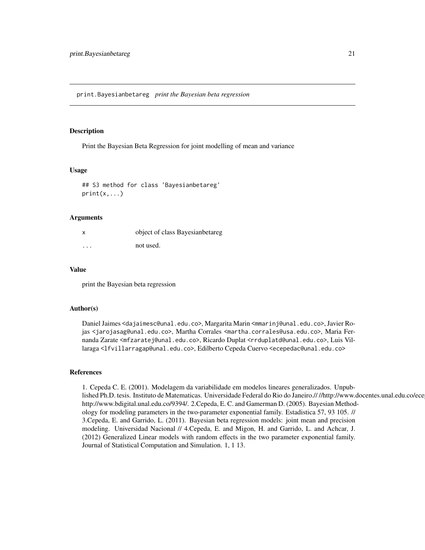<span id="page-20-0"></span>print.Bayesianbetareg *print the Bayesian beta regression*

#### Description

Print the Bayesian Beta Regression for joint modelling of mean and variance

#### Usage

```
## S3 method for class 'Bayesianbetareg'
print(x,...)
```
# Arguments

|          | object of class Bayesian betareg |
|----------|----------------------------------|
| $\cdots$ | not used.                        |

#### Value

print the Bayesian beta regression

# Author(s)

Daniel Jaimes <dajaimesc@unal.edu.co>, Margarita Marin <mmarinj@unal.edu.co>, Javier Rojas <jarojasag@unal.edu.co>, Martha Corrales <martha.corrales@usa.edu.co>, Maria Fernanda Zarate <mfzaratej@unal.edu.co>, Ricardo Duplat <rrduplatd@unal.edu.co>, Luis Villaraga <lfvillarragap@unal.edu.co>, Edilberto Cepeda Cuervo <ecepedac@unal.edu.co>

# References

1. Cepeda C. E. (2001). Modelagem da variabilidade em modelos lineares generalizados. Unpublished Ph.D. tesis. Instituto de Matematicas. Universidade Federal do Rio do Janeiro.////http://www.docentes.unal.edu.co/ece http://www.bdigital.unal.edu.co/9394/. 2.Cepeda, E. C. and Gamerman D. (2005). Bayesian Methodology for modeling parameters in the two-parameter exponential family. Estadistica 57, 93 105. // 3.Cepeda, E. and Garrido, L. (2011). Bayesian beta regression models: joint mean and precision modeling. Universidad Nacional // 4.Cepeda, E. and Migon, H. and Garrido, L. and Achcar, J. (2012) Generalized Linear models with random effects in the two parameter exponential family. Journal of Statistical Computation and Simulation. 1, 1 13.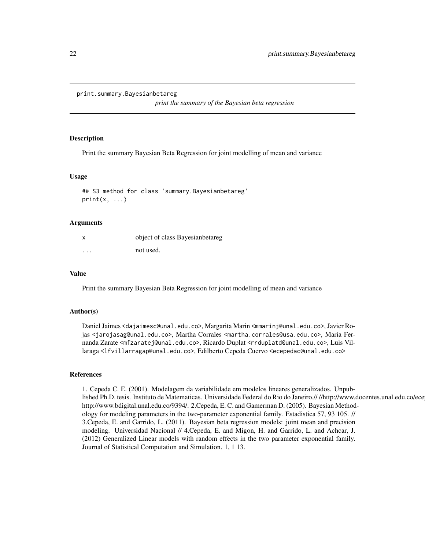<span id="page-21-0"></span>print.summary.Bayesianbetareg

*print the summary of the Bayesian beta regression*

# **Description**

Print the summary Bayesian Beta Regression for joint modelling of mean and variance

#### Usage

## S3 method for class 'summary.Bayesianbetareg'  $print(x, \ldots)$ 

#### Arguments

|          | object of class Bayesianbetareg |
|----------|---------------------------------|
| $\cdots$ | not used.                       |

# Value

Print the summary Bayesian Beta Regression for joint modelling of mean and variance

#### Author(s)

Daniel Jaimes <dajaimesc@unal.edu.co>, Margarita Marin <mmarinj@unal.edu.co>, Javier Rojas <jarojasag@unal.edu.co>, Martha Corrales <martha.corrales@usa.edu.co>, Maria Fernanda Zarate <mfzaratej@unal.edu.co>, Ricardo Duplat <rrduplatd@unal.edu.co>, Luis Villaraga <lfvillarragap@unal.edu.co>, Edilberto Cepeda Cuervo <ecepedac@unal.edu.co>

# References

1. Cepeda C. E. (2001). Modelagem da variabilidade em modelos lineares generalizados. Unpublished Ph.D. tesis. Instituto de Matematicas. Universidade Federal do Rio do Janeiro.////http://www.docentes.unal.edu.co/ece http://www.bdigital.unal.edu.co/9394/. 2.Cepeda, E. C. and Gamerman D. (2005). Bayesian Methodology for modeling parameters in the two-parameter exponential family. Estadistica 57, 93 105. // 3.Cepeda, E. and Garrido, L. (2011). Bayesian beta regression models: joint mean and precision modeling. Universidad Nacional // 4.Cepeda, E. and Migon, H. and Garrido, L. and Achcar, J. (2012) Generalized Linear models with random effects in the two parameter exponential family. Journal of Statistical Computation and Simulation. 1, 1 13.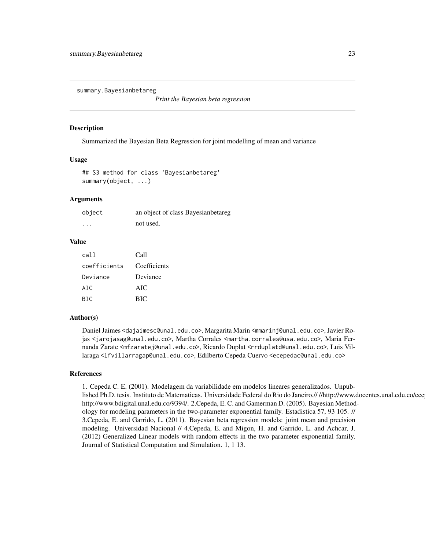<span id="page-22-0"></span>summary.Bayesianbetareg

*Print the Bayesian beta regression*

#### Description

Summarized the Bayesian Beta Regression for joint modelling of mean and variance

# Usage

```
## S3 method for class 'Bayesianbetareg'
summary(object, ...)
```
# Arguments

| object               | an object of class Bayesianbetareg |
|----------------------|------------------------------------|
| $\ddot{\phantom{0}}$ | not used.                          |

# Value

| cal1         | Call         |
|--------------|--------------|
| coefficients | Coefficients |
| Deviance     | Deviance     |
| AIC          | AIC.         |
| <b>BIC</b>   | <b>BIC</b>   |

# Author(s)

Daniel Jaimes <dajaimesc@unal.edu.co>, Margarita Marin <mmarinj@unal.edu.co>, Javier Rojas <jarojasag@unal.edu.co>, Martha Corrales <martha.corrales@usa.edu.co>, Maria Fernanda Zarate <mfzaratej@unal.edu.co>, Ricardo Duplat <rrduplatd@unal.edu.co>, Luis Villaraga <lfvillarragap@unal.edu.co>, Edilberto Cepeda Cuervo <ecepedac@unal.edu.co>

#### References

1. Cepeda C. E. (2001). Modelagem da variabilidade em modelos lineares generalizados. Unpublished Ph.D. tesis. Instituto de Matematicas. Universidade Federal do Rio do Janeiro.////http://www.docentes.unal.edu.co/ece http://www.bdigital.unal.edu.co/9394/. 2.Cepeda, E. C. and Gamerman D. (2005). Bayesian Methodology for modeling parameters in the two-parameter exponential family. Estadistica 57, 93 105. // 3.Cepeda, E. and Garrido, L. (2011). Bayesian beta regression models: joint mean and precision modeling. Universidad Nacional // 4.Cepeda, E. and Migon, H. and Garrido, L. and Achcar, J. (2012) Generalized Linear models with random effects in the two parameter exponential family. Journal of Statistical Computation and Simulation. 1, 1 13.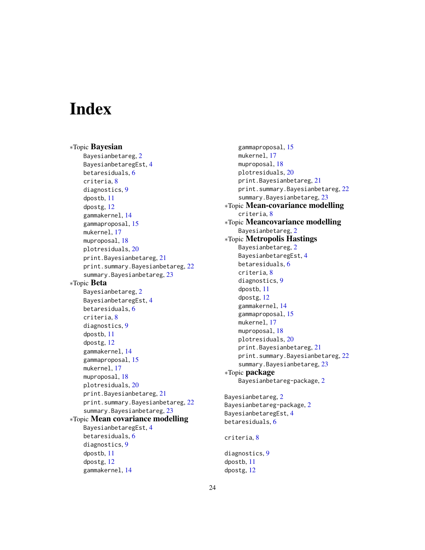# <span id="page-23-0"></span>**Index**

∗Topic Bayesian Bayesianbetareg, [2](#page-1-0) BayesianbetaregEst, [4](#page-3-0) betaresiduals, [6](#page-5-0) criteria, [8](#page-7-0) diagnostics, [9](#page-8-0) dpostb, [11](#page-10-0) dpostg, [12](#page-11-0) gammakernel, [14](#page-13-0) gammaproposal, [15](#page-14-0) mukernel, [17](#page-16-0) muproposal, [18](#page-17-0) plotresiduals, [20](#page-19-0) print.Bayesianbetareg, [21](#page-20-0) print.summary.Bayesianbetareg, [22](#page-21-0) summary.Bayesianbetareg, [23](#page-22-0) ∗Topic Beta Bayesianbetareg, [2](#page-1-0) BayesianbetaregEst, [4](#page-3-0) betaresiduals, [6](#page-5-0) criteria, [8](#page-7-0) diagnostics, [9](#page-8-0) dpostb, [11](#page-10-0) dpostg, [12](#page-11-0) gammakernel, [14](#page-13-0) gammaproposal, [15](#page-14-0) mukernel, [17](#page-16-0) muproposal, [18](#page-17-0) plotresiduals, [20](#page-19-0) print.Bayesianbetareg, [21](#page-20-0) print.summary.Bayesianbetareg, [22](#page-21-0) summary.Bayesianbetareg, [23](#page-22-0) ∗Topic Mean covariance modelling BayesianbetaregEst, [4](#page-3-0) betaresiduals, [6](#page-5-0) diagnostics, [9](#page-8-0) dpostb, [11](#page-10-0) dpostg, [12](#page-11-0) gammakernel, [14](#page-13-0)

gammaproposal, [15](#page-14-0) mukernel, [17](#page-16-0) muproposal, [18](#page-17-0) plotresiduals, [20](#page-19-0) print.Bayesianbetareg, [21](#page-20-0) print.summary.Bayesianbetareg, [22](#page-21-0) summary.Bayesianbetareg, [23](#page-22-0) ∗Topic Mean-covariance modelling criteria, [8](#page-7-0) ∗Topic Meancovariance modelling Bayesianbetareg, [2](#page-1-0) ∗Topic Metropolis Hastings Bayesianbetareg, [2](#page-1-0) BayesianbetaregEst, [4](#page-3-0) betaresiduals, [6](#page-5-0) criteria, [8](#page-7-0) diagnostics, [9](#page-8-0) dpostb, [11](#page-10-0) dpostg, [12](#page-11-0) gammakernel, [14](#page-13-0) gammaproposal, [15](#page-14-0) mukernel, [17](#page-16-0) muproposal, [18](#page-17-0) plotresiduals, [20](#page-19-0) print.Bayesianbetareg, [21](#page-20-0) print.summary.Bayesianbetareg, [22](#page-21-0) summary.Bayesianbetareg, [23](#page-22-0) ∗Topic package Bayesianbetareg-package, [2](#page-1-0) Bayesianbetareg, [2](#page-1-0) Bayesianbetareg-package, [2](#page-1-0) BayesianbetaregEst, [4](#page-3-0) betaresiduals, [6](#page-5-0) criteria, [8](#page-7-0)

diagnostics, [9](#page-8-0) dpostb, [11](#page-10-0) dpostg, [12](#page-11-0)